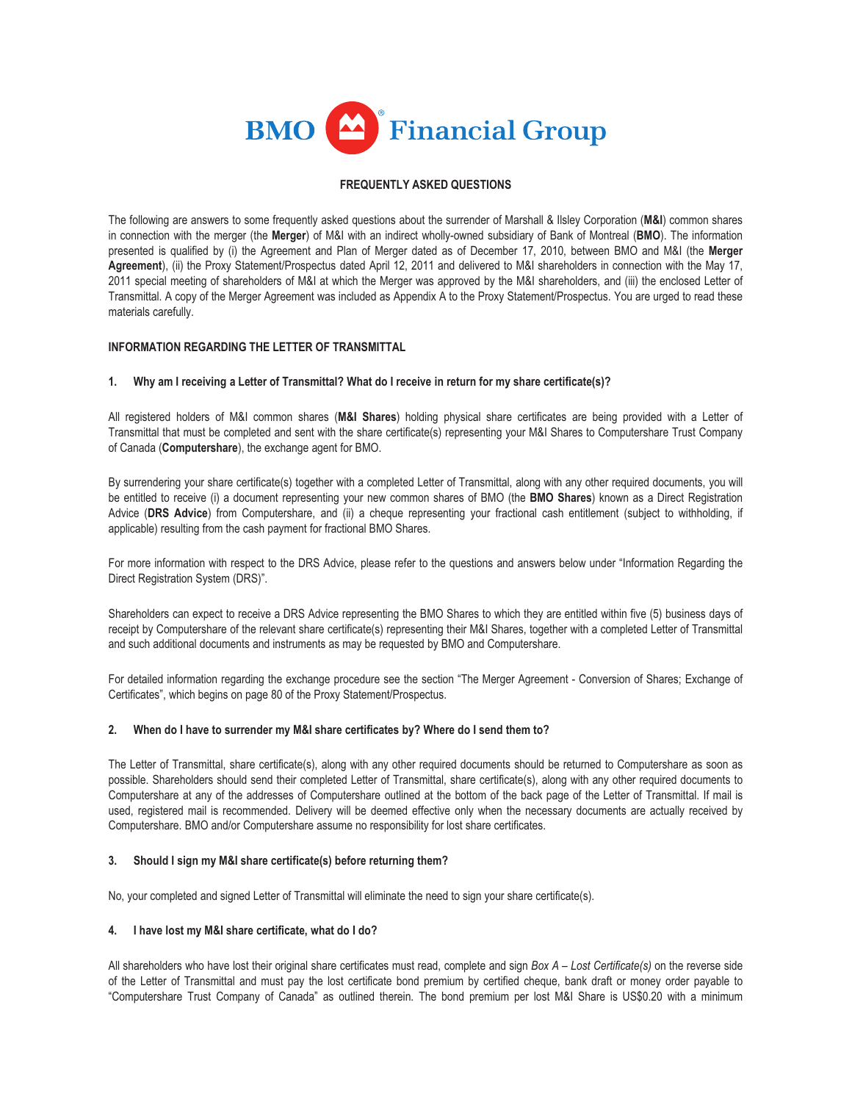

# **FREQUENTLY ASKED QUESTIONS**

The following are answers to some frequently asked questions about the surrender of Marshall & Ilsley Corporation (**M&I**) common shares in connection with the merger (the **Merger**) of M&I with an indirect wholly-owned subsidiary of Bank of Montreal (**BMO**). The information presented is qualified by (i) the Agreement and Plan of Merger dated as of December 17, 2010, between BMO and M&I (the **Merger Agreement**), (ii) the Proxy Statement/Prospectus dated April 12, 2011 and delivered to M&I shareholders in connection with the May 17, 2011 special meeting of shareholders of M&I at which the Merger was approved by the M&I shareholders, and (iii) the enclosed Letter of Transmittal. A copy of the Merger Agreement was included as Appendix A to the Proxy Statement/Prospectus. You are urged to read these materials carefully.

# **INFORMATION REGARDING THE LETTER OF TRANSMITTAL**

## **1. Why am I receiving a Letter of Transmittal? What do I receive in return for my share certificate(s)?**

All registered holders of M&I common shares (**M&I Shares**) holding physical share certificates are being provided with a Letter of Transmittal that must be completed and sent with the share certificate(s) representing your M&I Shares to Computershare Trust Company of Canada (**Computershare**), the exchange agent for BMO.

By surrendering your share certificate(s) together with a completed Letter of Transmittal, along with any other required documents, you will be entitled to receive (i) a document representing your new common shares of BMO (the **BMO Shares**) known as a Direct Registration Advice (**DRS Advice**) from Computershare, and (ii) a cheque representing your fractional cash entitlement (subject to withholding, if applicable) resulting from the cash payment for fractional BMO Shares.

For more information with respect to the DRS Advice, please refer to the questions and answers below under "Information Regarding the Direct Registration System (DRS)".

Shareholders can expect to receive a DRS Advice representing the BMO Shares to which they are entitled within five (5) business days of receipt by Computershare of the relevant share certificate(s) representing their M&I Shares, together with a completed Letter of Transmittal and such additional documents and instruments as may be requested by BMO and Computershare.

For detailed information regarding the exchange procedure see the section "The Merger Agreement - Conversion of Shares; Exchange of Certificates", which begins on page 80 of the Proxy Statement/Prospectus.

### **2. When do I have to surrender my M&I share certificates by? Where do I send them to?**

The Letter of Transmittal, share certificate(s), along with any other required documents should be returned to Computershare as soon as possible. Shareholders should send their completed Letter of Transmittal, share certificate(s), along with any other required documents to Computershare at any of the addresses of Computershare outlined at the bottom of the back page of the Letter of Transmittal. If mail is used, registered mail is recommended. Delivery will be deemed effective only when the necessary documents are actually received by Computershare. BMO and/or Computershare assume no responsibility for lost share certificates.

### **3. Should I sign my M&I share certificate(s) before returning them?**

No, your completed and signed Letter of Transmittal will eliminate the need to sign your share certificate(s).

### **4. I have lost my M&I share certificate, what do I do?**

All shareholders who have lost their original share certificates must read, complete and sign *Box A – Lost Certificate(s)* on the reverse side of the Letter of Transmittal and must pay the lost certificate bond premium by certified cheque, bank draft or money order payable to "Computershare Trust Company of Canada" as outlined therein. The bond premium per lost M&I Share is US\$0.20 with a minimum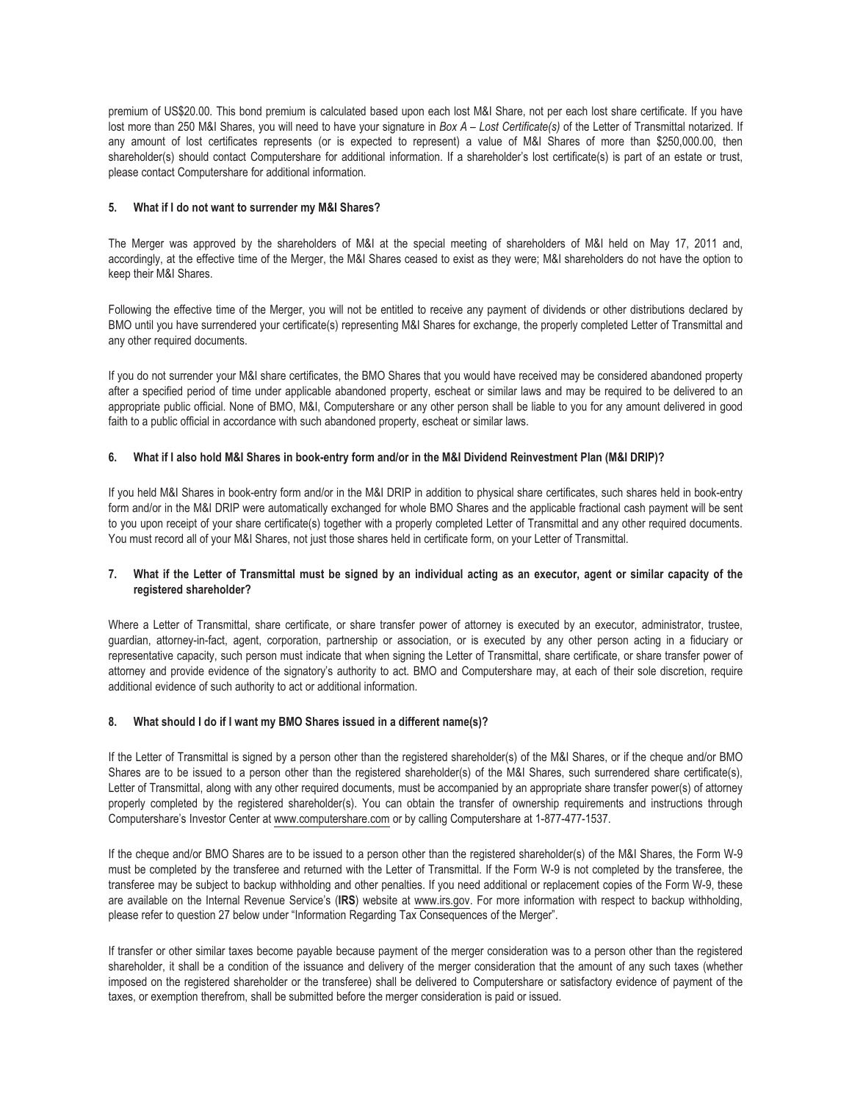premium of US\$20.00. This bond premium is calculated based upon each lost M&I Share, not per each lost share certificate. If you have lost more than 250 M&I Shares, you will need to have your signature in *Box A – Lost Certificate(s)* of the Letter of Transmittal notarized. If any amount of lost certificates represents (or is expected to represent) a value of M&I Shares of more than \$250,000.00, then shareholder(s) should contact Computershare for additional information. If a shareholder's lost certificate(s) is part of an estate or trust, please contact Computershare for additional information.

## **5. What if I do not want to surrender my M&I Shares?**

The Merger was approved by the shareholders of M&I at the special meeting of shareholders of M&I held on May 17, 2011 and, accordingly, at the effective time of the Merger, the M&I Shares ceased to exist as they were; M&I shareholders do not have the option to keep their M&I Shares.

Following the effective time of the Merger, you will not be entitled to receive any payment of dividends or other distributions declared by BMO until you have surrendered your certificate(s) representing M&I Shares for exchange, the properly completed Letter of Transmittal and any other required documents.

If you do not surrender your M&I share certificates, the BMO Shares that you would have received may be considered abandoned property after a specified period of time under applicable abandoned property, escheat or similar laws and may be required to be delivered to an appropriate public official. None of BMO, M&I, Computershare or any other person shall be liable to you for any amount delivered in good faith to a public official in accordance with such abandoned property, escheat or similar laws.

## **6. What if I also hold M&I Shares in book-entry form and/or in the M&I Dividend Reinvestment Plan (M&I DRIP)?**

If you held M&I Shares in book-entry form and/or in the M&I DRIP in addition to physical share certificates, such shares held in book-entry form and/or in the M&I DRIP were automatically exchanged for whole BMO Shares and the applicable fractional cash payment will be sent to you upon receipt of your share certificate(s) together with a properly completed Letter of Transmittal and any other required documents. You must record all of your M&I Shares, not just those shares held in certificate form, on your Letter of Transmittal.

# **7. What if the Letter of Transmittal must be signed by an individual acting as an executor, agent or similar capacity of the registered shareholder?**

Where a Letter of Transmittal, share certificate, or share transfer power of attorney is executed by an executor, administrator, trustee, guardian, attorney-in-fact, agent, corporation, partnership or association, or is executed by any other person acting in a fiduciary or representative capacity, such person must indicate that when signing the Letter of Transmittal, share certificate, or share transfer power of attorney and provide evidence of the signatory's authority to act. BMO and Computershare may, at each of their sole discretion, require additional evidence of such authority to act or additional information.

# **8. What should I do if I want my BMO Shares issued in a different name(s)?**

If the Letter of Transmittal is signed by a person other than the registered shareholder(s) of the M&I Shares, or if the cheque and/or BMO Shares are to be issued to a person other than the registered shareholder(s) of the M&I Shares, such surrendered share certificate(s), Letter of Transmittal, along with any other required documents, must be accompanied by an appropriate share transfer power(s) of attorney properly completed by the registered shareholder(s). You can obtain the transfer of ownership requirements and instructions through Computershare's Investor Center at www.computershare.com or by calling Computershare at 1-877-477-1537.

If the cheque and/or BMO Shares are to be issued to a person other than the registered shareholder(s) of the M&I Shares, the Form W-9 must be completed by the transferee and returned with the Letter of Transmittal. If the Form W-9 is not completed by the transferee, the transferee may be subject to backup withholding and other penalties. If you need additional or replacement copies of the Form W-9, these are available on the Internal Revenue Service's (**IRS**) website at www.irs.gov. For more information with respect to backup withholding, please refer to question 27 below under "Information Regarding Tax Consequences of the Merger".

If transfer or other similar taxes become payable because payment of the merger consideration was to a person other than the registered shareholder, it shall be a condition of the issuance and delivery of the merger consideration that the amount of any such taxes (whether imposed on the registered shareholder or the transferee) shall be delivered to Computershare or satisfactory evidence of payment of the taxes, or exemption therefrom, shall be submitted before the merger consideration is paid or issued.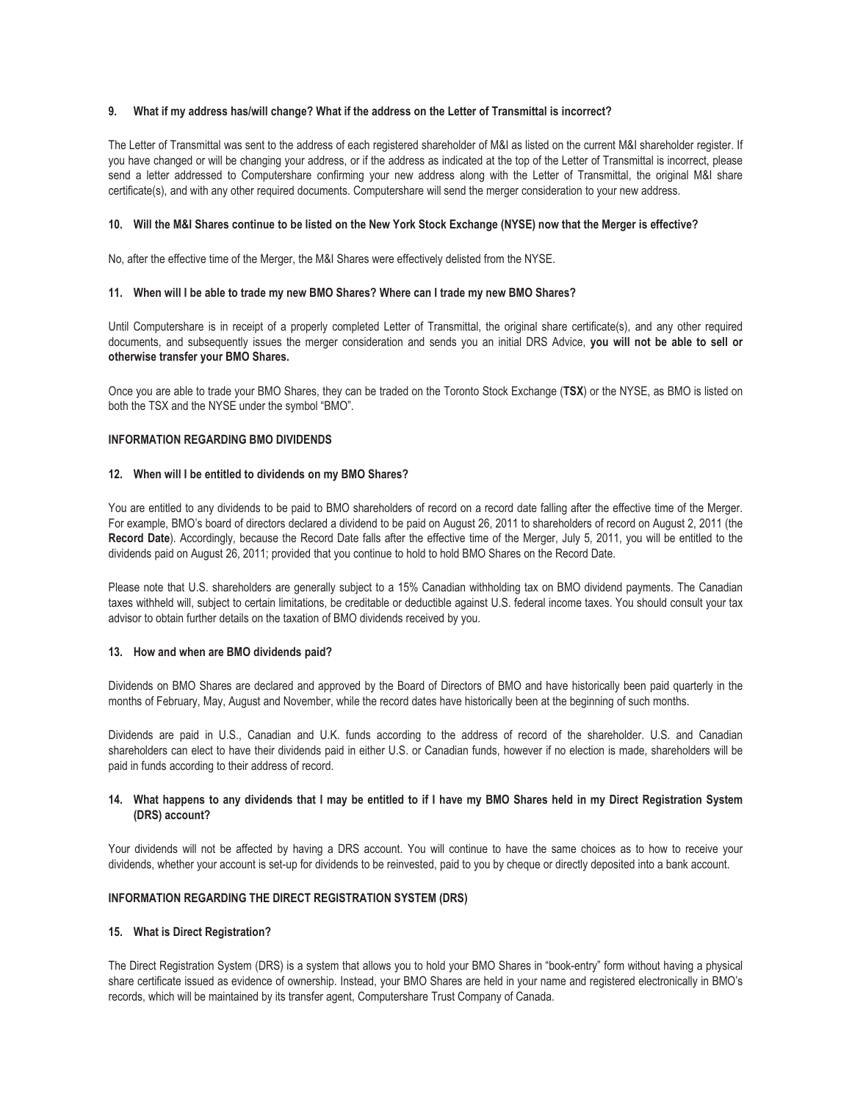## **9. What if my address has/will change? What if the address on the Letter of Transmittal is incorrect?**

The Letter of Transmittal was sent to the address of each registered shareholder of M&I as listed on the current M&I shareholder register. If you have changed or will be changing your address, or if the address as indicated at the top of the Letter of Transmittal is incorrect, please send a letter addressed to Computershare confirming your new address along with the Letter of Transmittal, the original M&I share certificate(s), and with any other required documents. Computershare will send the merger consideration to your new address.

### **10. Will the M&I Shares continue to be listed on the New York Stock Exchange (NYSE) now that the Merger is effective?**

No, after the effective time of the Merger, the M&I Shares were effectively delisted from the NYSE.

### **11. When will I be able to trade my new BMO Shares? Where can I trade my new BMO Shares?**

Until Computershare is in receipt of a properly completed Letter of Transmittal, the original share certificate(s), and any other required documents, and subsequently issues the merger consideration and sends you an initial DRS Advice, **you will not be able to sell or otherwise transfer your BMO Shares.**

Once you are able to trade your BMO Shares, they can be traded on the Toronto Stock Exchange (**TSX**) or the NYSE, as BMO is listed on both the TSX and the NYSE under the symbol "BMO".

#### **INFORMATION REGARDING BMO DIVIDENDS**

#### **12. When will I be entitled to dividends on my BMO Shares?**

You are entitled to any dividends to be paid to BMO shareholders of record on a record date falling after the effective time of the Merger. For example, BMO's board of directors declared a dividend to be paid on August 26, 2011 to shareholders of record on August 2, 2011 (the **Record Date**). Accordingly, because the Record Date falls after the effective time of the Merger, July 5, 2011, you will be entitled to the dividends paid on August 26, 2011; provided that you continue to hold to hold BMO Shares on the Record Date.

Please note that U.S. shareholders are generally subject to a 15% Canadian withholding tax on BMO dividend payments. The Canadian taxes withheld will, subject to certain limitations, be creditable or deductible against U.S. federal income taxes. You should consult your tax advisor to obtain further details on the taxation of BMO dividends received by you.

### **13. How and when are BMO dividends paid?**

Dividends on BMO Shares are declared and approved by the Board of Directors of BMO and have historically been paid quarterly in the months of February, May, August and November, while the record dates have historically been at the beginning of such months.

Dividends are paid in U.S., Canadian and U.K. funds according to the address of record of the shareholder. U.S. and Canadian shareholders can elect to have their dividends paid in either U.S. or Canadian funds, however if no election is made, shareholders will be paid in funds according to their address of record.

### **14. What happens to any dividends that I may be entitled to if I have my BMO Shares held in my Direct Registration System (DRS) account?**

Your dividends will not be affected by having a DRS account. You will continue to have the same choices as to how to receive your dividends, whether your account is set-up for dividends to be reinvested, paid to you by cheque or directly deposited into a bank account.

### **INFORMATION REGARDING THE DIRECT REGISTRATION SYSTEM (DRS)**

### **15. What is Direct Registration?**

The Direct Registration System (DRS) is a system that allows you to hold your BMO Shares in "book-entry" form without having a physical share certificate issued as evidence of ownership. Instead, your BMO Shares are held in your name and registered electronically in BMO's records, which will be maintained by its transfer agent, Computershare Trust Company of Canada.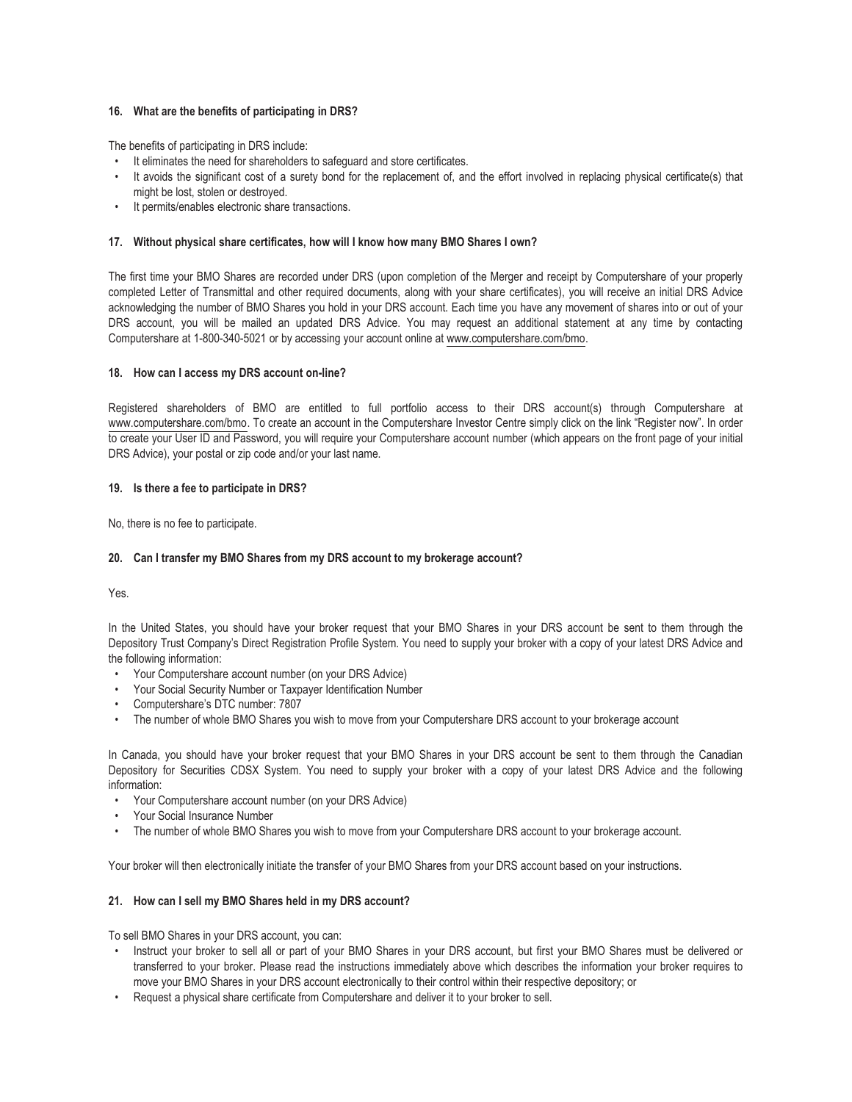# **16. What are the benefits of participating in DRS?**

The benefits of participating in DRS include:

- It eliminates the need for shareholders to safeguard and store certificates.
- It avoids the significant cost of a surety bond for the replacement of, and the effort involved in replacing physical certificate(s) that might be lost, stolen or destroyed.
- It permits/enables electronic share transactions.

# **17. Without physical share certificates, how will I know how many BMO Shares I own?**

The first time your BMO Shares are recorded under DRS (upon completion of the Merger and receipt by Computershare of your properly completed Letter of Transmittal and other required documents, along with your share certificates), you will receive an initial DRS Advice acknowledging the number of BMO Shares you hold in your DRS account. Each time you have any movement of shares into or out of your DRS account, you will be mailed an updated DRS Advice. You may request an additional statement at any time by contacting Computershare at 1-800-340-5021 or by accessing your account online at www.computershare.com/bmo.

## **18. How can I access my DRS account on-line?**

Registered shareholders of BMO are entitled to full portfolio access to their DRS account(s) through Computershare at www.computershare.com/bmo. To create an account in the Computershare Investor Centre simply click on the link "Register now". In order to create your User ID and Password, you will require your Computershare account number (which appears on the front page of your initial DRS Advice), your postal or zip code and/or your last name.

## **19. Is there a fee to participate in DRS?**

No, there is no fee to participate.

# **20. Can I transfer my BMO Shares from my DRS account to my brokerage account?**

Yes.

In the United States, you should have your broker request that your BMO Shares in your DRS account be sent to them through the Depository Trust Company's Direct Registration Profile System. You need to supply your broker with a copy of your latest DRS Advice and the following information:

- Your Computershare account number (on your DRS Advice)
- Your Social Security Number or Taxpayer Identification Number
- Computershare's DTC number: 7807
- The number of whole BMO Shares you wish to move from your Computershare DRS account to your brokerage account

In Canada, you should have your broker request that your BMO Shares in your DRS account be sent to them through the Canadian Depository for Securities CDSX System. You need to supply your broker with a copy of your latest DRS Advice and the following information:

- Your Computershare account number (on your DRS Advice)
- Your Social Insurance Number
- The number of whole BMO Shares you wish to move from your Computershare DRS account to your brokerage account.

Your broker will then electronically initiate the transfer of your BMO Shares from your DRS account based on your instructions.

# **21. How can I sell my BMO Shares held in my DRS account?**

To sell BMO Shares in your DRS account, you can:

- Instruct your broker to sell all or part of your BMO Shares in your DRS account, but first your BMO Shares must be delivered or transferred to your broker. Please read the instructions immediately above which describes the information your broker requires to move your BMO Shares in your DRS account electronically to their control within their respective depository; or
- Request a physical share certificate from Computershare and deliver it to your broker to sell.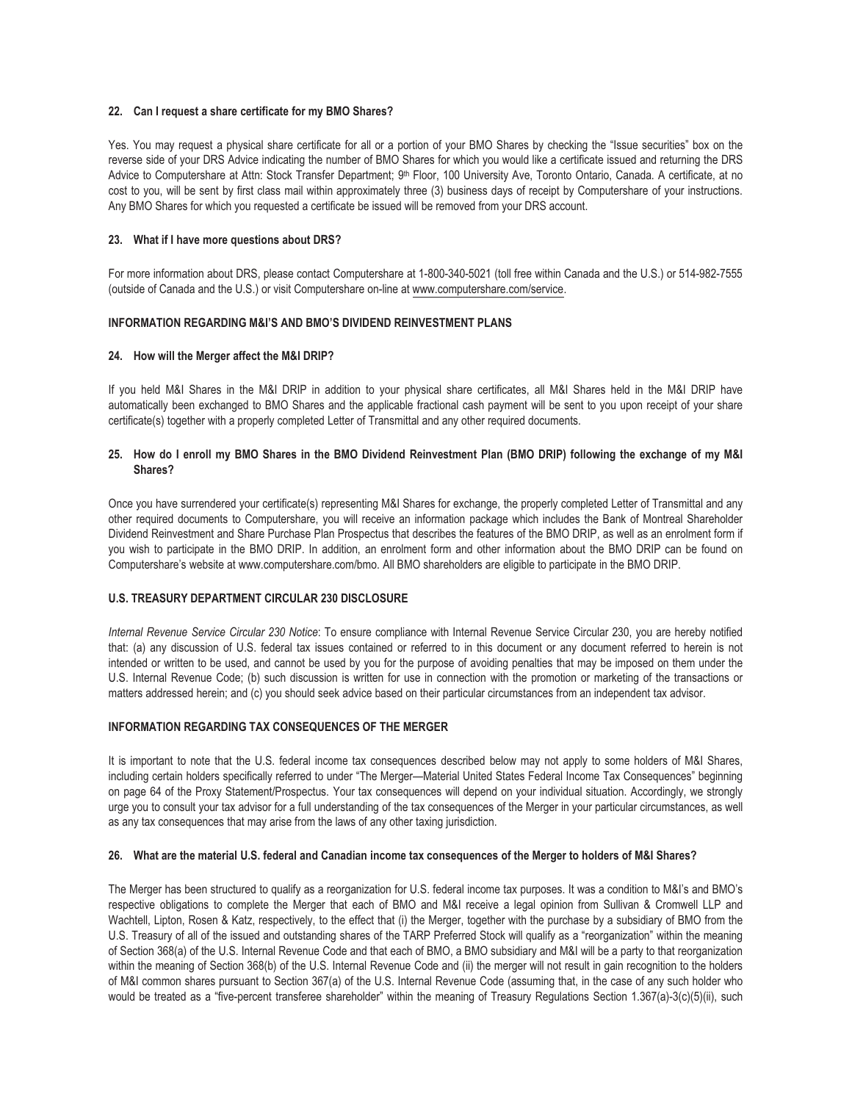## **22. Can I request a share certificate for my BMO Shares?**

Yes. You may request a physical share certificate for all or a portion of your BMO Shares by checking the "Issue securities" box on the reverse side of your DRS Advice indicating the number of BMO Shares for which you would like a certificate issued and returning the DRS Advice to Computershare at Attn: Stock Transfer Department; 9<sup>th</sup> Floor, 100 University Ave, Toronto Ontario, Canada. A certificate, at no cost to you, will be sent by first class mail within approximately three (3) business days of receipt by Computershare of your instructions. Any BMO Shares for which you requested a certificate be issued will be removed from your DRS account.

### **23. What if I have more questions about DRS?**

For more information about DRS, please contact Computershare at 1-800-340-5021 (toll free within Canada and the U.S.) or 514-982-7555 (outside of Canada and the U.S.) or visit Computershare on-line at www.computershare.com/service.

## **INFORMATION REGARDING M&I'S AND BMO'S DIVIDEND REINVESTMENT PLANS**

## **24. How will the Merger affect the M&I DRIP?**

If you held M&I Shares in the M&I DRIP in addition to your physical share certificates, all M&I Shares held in the M&I DRIP have automatically been exchanged to BMO Shares and the applicable fractional cash payment will be sent to you upon receipt of your share certificate(s) together with a properly completed Letter of Transmittal and any other required documents.

## **25. How do I enroll my BMO Shares in the BMO Dividend Reinvestment Plan (BMO DRIP) following the exchange of my M&I Shares?**

Once you have surrendered your certificate(s) representing M&I Shares for exchange, the properly completed Letter of Transmittal and any other required documents to Computershare, you will receive an information package which includes the Bank of Montreal Shareholder Dividend Reinvestment and Share Purchase Plan Prospectus that describes the features of the BMO DRIP, as well as an enrolment form if you wish to participate in the BMO DRIP. In addition, an enrolment form and other information about the BMO DRIP can be found on Computershare's website at www.computershare.com/bmo. All BMO shareholders are eligible to participate in the BMO DRIP.

### **U.S. TREASURY DEPARTMENT CIRCULAR 230 DISCLOSURE**

*Internal Revenue Service Circular 230 Notice*: To ensure compliance with Internal Revenue Service Circular 230, you are hereby notified that: (a) any discussion of U.S. federal tax issues contained or referred to in this document or any document referred to herein is not intended or written to be used, and cannot be used by you for the purpose of avoiding penalties that may be imposed on them under the U.S. Internal Revenue Code; (b) such discussion is written for use in connection with the promotion or marketing of the transactions or matters addressed herein; and (c) you should seek advice based on their particular circumstances from an independent tax advisor.

# **INFORMATION REGARDING TAX CONSEQUENCES OF THE MERGER**

It is important to note that the U.S. federal income tax consequences described below may not apply to some holders of M&I Shares, including certain holders specifically referred to under "The Merger—Material United States Federal Income Tax Consequences" beginning on page 64 of the Proxy Statement/Prospectus. Your tax consequences will depend on your individual situation. Accordingly, we strongly urge you to consult your tax advisor for a full understanding of the tax consequences of the Merger in your particular circumstances, as well as any tax consequences that may arise from the laws of any other taxing jurisdiction.

### **26. What are the material U.S. federal and Canadian income tax consequences of the Merger to holders of M&I Shares?**

The Merger has been structured to qualify as a reorganization for U.S. federal income tax purposes. It was a condition to M&I's and BMO's respective obligations to complete the Merger that each of BMO and M&I receive a legal opinion from Sullivan & Cromwell LLP and Wachtell, Lipton, Rosen & Katz, respectively, to the effect that (i) the Merger, together with the purchase by a subsidiary of BMO from the U.S. Treasury of all of the issued and outstanding shares of the TARP Preferred Stock will qualify as a "reorganization" within the meaning of Section 368(a) of the U.S. Internal Revenue Code and that each of BMO, a BMO subsidiary and M&I will be a party to that reorganization within the meaning of Section 368(b) of the U.S. Internal Revenue Code and (ii) the merger will not result in gain recognition to the holders of M&I common shares pursuant to Section 367(a) of the U.S. Internal Revenue Code (assuming that, in the case of any such holder who would be treated as a "five-percent transferee shareholder" within the meaning of Treasury Regulations Section 1.367(a)-3(c)(5)(ii), such